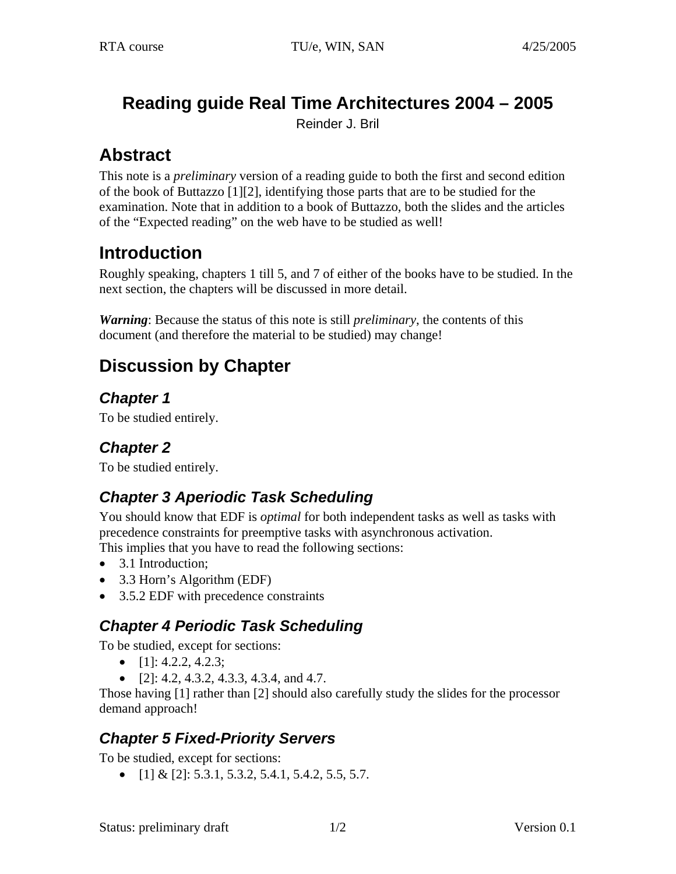# **Reading guide Real Time Architectures 2004 – 2005**

Reinder J. Bril

# **Abstract**

This note is a *preliminary* version of a reading guide to both the first and second edition of the book of Buttazzo [\[1\]](#page-1-0)[\[2\],](#page-1-1) identifying those parts that are to be studied for the examination. Note that in addition to a book of Buttazzo, both the slides and the articles of the "Expected reading" on the web have to be studied as well!

# **Introduction**

Roughly speaking, chapters 1 till 5, and 7 of either of the books have to be studied. In the next section, the chapters will be discussed in more detail.

*Warning*: Because the status of this note is still *preliminary*, the contents of this document (and therefore the material to be studied) may change!

# **Discussion by Chapter**

*Chapter 1* 

To be studied entirely.

## *Chapter 2*

To be studied entirely.

## *Chapter 3 Aperiodic Task Scheduling*

You should know that EDF is *optimal* for both independent tasks as well as tasks with precedence constraints for preemptive tasks with asynchronous activation.

This implies that you have to read the following sections:

- 3.1 Introduction:
- 3.3 Horn's Algorithm (EDF)
- 3.5.2 EDF with precedence constraints

### *Chapter 4 Periodic Task Scheduling*

To be studied, except for sections:

- $[1]$ : 4.2.2, 4.2.3;
- $[2]$ : 4.2, 4.3.2, 4.3.3, 4.3.4, and 4.7.

Those having [\[1\]](#page-1-0) rather than [\[2\]](#page-1-1) should also carefully study the slides for the processor demand approach!

#### *Chapter 5 Fixed-Priority Servers*

To be studied, except for sections:

•  $[1] & [2]$  $[1] & [2]$ : 5.3.1, 5.3.2, 5.4.1, 5.4.2, 5.5, 5.7.